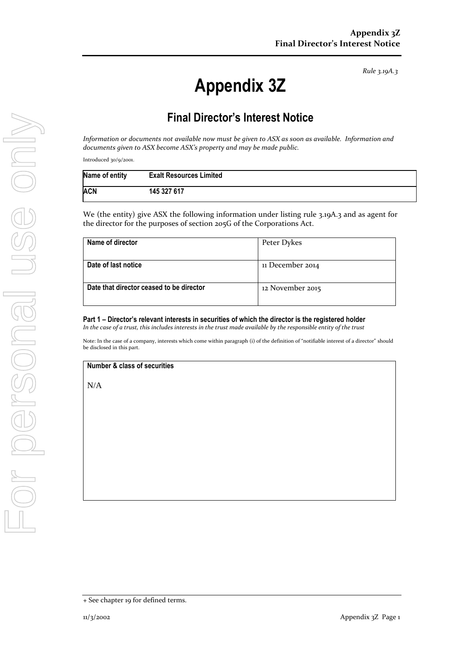*Rule 3.19A.3*

## **Appendix 3Z**

## **Final Director's Interest Notice**

*Information or documents not available now must be given to ASX as soon as available. Information and documents given to ASX become ASX's property and may be made public.*

Introduced 30/9/2001.

| Name of entity | <b>Exalt Resources Limited</b> |
|----------------|--------------------------------|
| ACN            | 145 327 617                    |

We (the entity) give ASX the following information under listing rule 3.19A.3 and as agent for the director for the purposes of section 205G of the Corporations Act.

| Name of director                         | Peter Dykes      |
|------------------------------------------|------------------|
|                                          |                  |
| Date of last notice                      | 11 December 2014 |
|                                          |                  |
| Date that director ceased to be director | 12 November 2015 |
|                                          |                  |

**Part 1 – Director's relevant interests in securities of which the director is the registered holder** *In the case of a trust, this includes interests in the trust made available by the responsible entity of the trust*

Note: In the case of a company, interests which come within paragraph (i) of the definition of "notifiable interest of a director" should be disclosed in this part.

**Number & class of securities**

N/A

<sup>+</sup> See chapter 19 for defined terms.